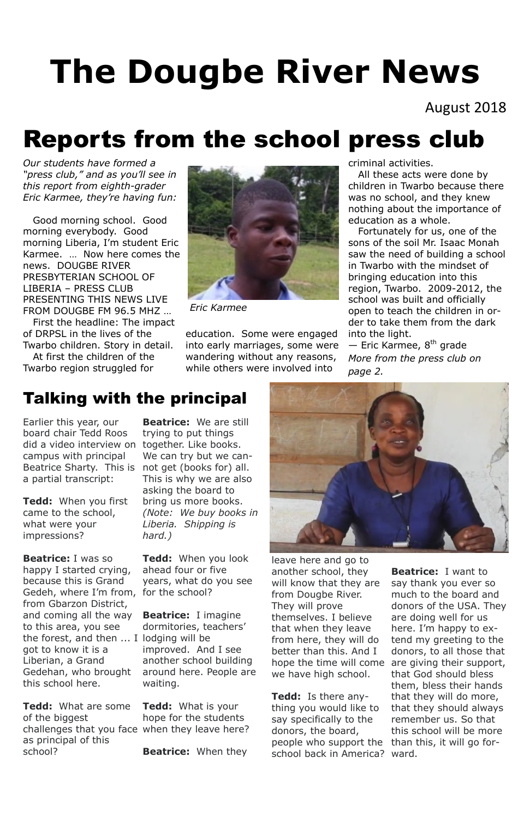August 2018

# **The Dougbe River News**

# Reports from the school press club

*Our students have formed a "press club," and as you'll see in this report from eighth-grader Eric Karmee, they're having fun:*

 Good morning school. Good morning everybody. Good morning Liberia, I'm student Eric Karmee. … Now here comes the news. DOUGBE RIVER PRESBYTERIAN SCHOOL OF LIBERIA – PRESS CLUB PRESENTING THIS NEWS LIVE FROM DOUGBE FM 96.5 MHZ …

 First the headline: The impact of DRPSL in the lives of the Twarbo children. Story in detail.

 At first the children of the Twarbo region struggled for

 $-$  Eric Karmee,  $8<sup>th</sup>$  grade *More from the press club on page 2.*

education. Some were engaged into early marriages, some were wandering without any reasons, while others were involved into

criminal activities.

 All these acts were done by children in Twarbo because there was no school, and they knew nothing about the importance of education as a whole.

 Fortunately for us, one of the sons of the soil Mr. Isaac Monah saw the need of building a school in Twarbo with the mindset of bringing education into this region, Twarbo. 2009-2012, the school was built and officially open to teach the children in order to take them from the dark into the light.



*Eric Karmee*

## Talking with the principal

Earlier this year, our board chair Tedd Roos did a video interview on together. Like books. campus with principal Beatrice Sharty. This is not get (books for) all. a partial transcript:

**Tedd:** When you first came to the school, what were your impressions?

**Beatrice:** I was so happy I started crying, because this is Grand Gedeh, where I'm from, for the school? from Gbarzon District, and coming all the way to this area, you see the forest, and then ... I lodging will be got to know it is a Liberian, a Grand Gedehan, who brought this school here.

**Beatrice:** We are still trying to put things We can try but we can-This is why we are also asking the board to bring us more books. *(Note: We buy books in Liberia. Shipping is hard.)*

**Tedd:** What are some of the biggest challenges that you face when they leave here? as principal of this school? **Tedd:** What is your hope for the students **Beatrice:** When they

**Tedd:** When you look ahead four or five years, what do you see



**Beatrice:** I imagine dormitories, teachers' improved. And I see another school building around here. People are waiting.

leave here and go to another school, they will know that they are from Dougbe River. They will prove themselves. I believe that when they leave from here, they will do better than this. And I we have high school.

hope the time will come are giving their support, **Beatrice:** I want to say thank you ever so much to the board and donors of the USA. They are doing well for us here. I'm happy to extend my greeting to the donors, to all those that that God should bless them, bless their hands that they will do more, that they should always remember us. So that this school will be more

**Tedd:** Is there anything you would like to say specifically to the donors, the board, people who support the than this, it will go forschool back in America? ward.